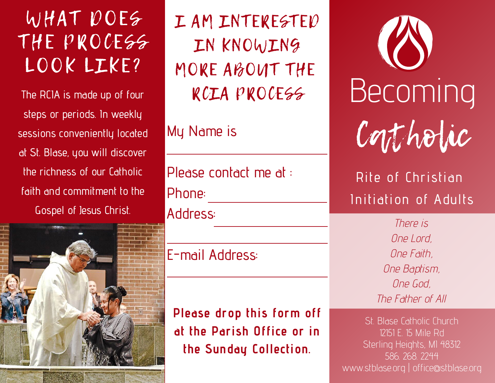WHAT DOES THE PROCESS LOOK LIKE?

The RCIA is made up of four steps or periods. In weekly sessions conveniently located at St. Blase, you will discover the richness of our Catholic faith and commitment to the Gospel of Jesus Christ.



I AM INTERESTED IN KNOWING MORE ABOUT THE RCIA PROCESS

My Name is

Please contact me at : Phone: Address:

E-mail Address:

**Please drop this form off at the Parish Office or in the Sunday Collection.**

Contholic Becoming

## Rite of Christian Initiation of Adults

There is One Lord, One Faith, One Baptism, One God, The Father of All

St. Blase Catholic Church 12151 E. 15 Mile Rd Sterling Heights, MI 48312 586. 268. 2244 www.stblase.org | office@stblase.org